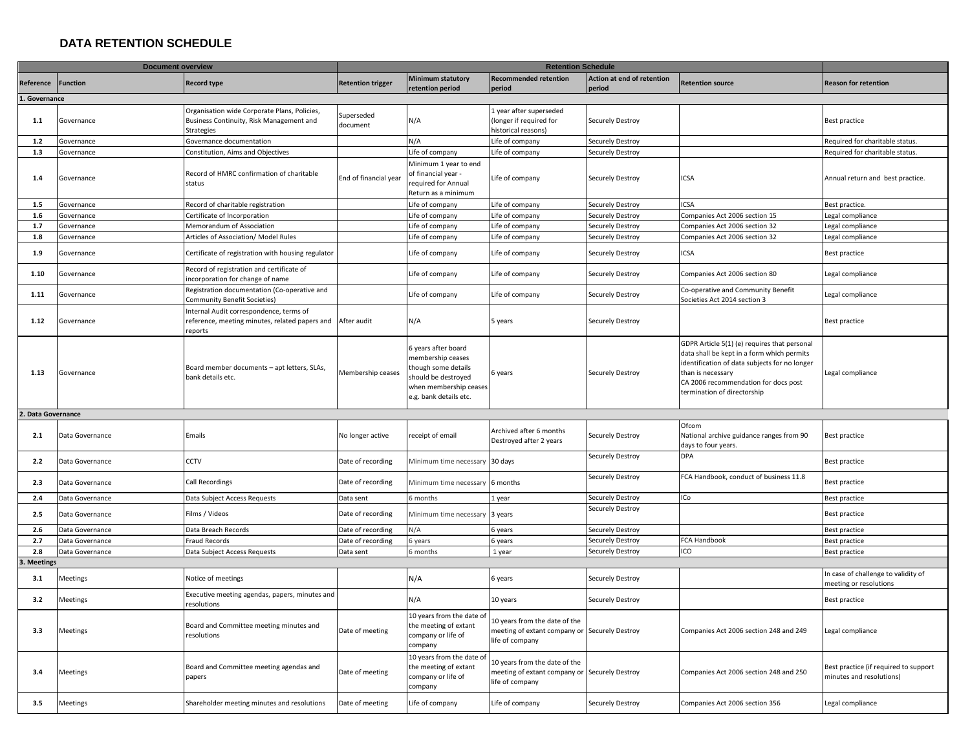## **DATA RETENTION SCHEDULE**

|                    | <b>Document overview</b> |                                                                                                        |                          |                                                                                                                                           |                                                                                                   |                                      |                                                                                                                                                                                                                                         |                                                                   |
|--------------------|--------------------------|--------------------------------------------------------------------------------------------------------|--------------------------|-------------------------------------------------------------------------------------------------------------------------------------------|---------------------------------------------------------------------------------------------------|--------------------------------------|-----------------------------------------------------------------------------------------------------------------------------------------------------------------------------------------------------------------------------------------|-------------------------------------------------------------------|
| Reference Function |                          | <b>Record type</b>                                                                                     | <b>Retention trigger</b> | <b>Minimum statutory</b><br>retention period                                                                                              | <b>Recommended retention</b><br>period                                                            | Action at end of retention<br>period | <b>Retention source</b>                                                                                                                                                                                                                 | <b>Reason for retention</b>                                       |
| 1. Governance      |                          |                                                                                                        |                          |                                                                                                                                           |                                                                                                   |                                      |                                                                                                                                                                                                                                         |                                                                   |
| 1.1                | Governance               | Organisation wide Corporate Plans, Policies,<br>Business Continuity, Risk Management and<br>Strategies | Superseded<br>document   | N/A                                                                                                                                       | 1 year after superseded<br>(longer if required for<br>historical reasons)                         | Securely Destroy                     |                                                                                                                                                                                                                                         | Best practice                                                     |
| 1.2                | Governance               | Governance documentation                                                                               |                          | N/A                                                                                                                                       | Life of company                                                                                   | Securely Destroy                     |                                                                                                                                                                                                                                         | Required for charitable status.                                   |
| 1.3                | Governance               | Constitution, Aims and Objectives                                                                      |                          | Life of company                                                                                                                           | Life of company                                                                                   | Securely Destroy                     |                                                                                                                                                                                                                                         | Required for charitable status.                                   |
| 1.4                | Governance               | Record of HMRC confirmation of charitable<br>status                                                    | End of financial year    | Minimum 1 year to end<br>of financial year -<br>equired for Annual<br>Return as a minimum                                                 | Life of company                                                                                   | Securely Destroy                     | ICSA                                                                                                                                                                                                                                    | Annual return and best practice.                                  |
| 1.5                | Governance               | Record of charitable registration                                                                      |                          | Life of company                                                                                                                           | Life of company                                                                                   | Securely Destroy                     | <b>ICSA</b>                                                                                                                                                                                                                             | Best practice.                                                    |
| 1.6                | Governance               | Certificate of Incorporation                                                                           |                          | Life of company                                                                                                                           | Life of company                                                                                   | Securely Destroy                     | Companies Act 2006 section 15                                                                                                                                                                                                           | Legal compliance                                                  |
| 1.7                | Governance               | Memorandum of Association                                                                              |                          | Life of company                                                                                                                           | Life of company                                                                                   | Securely Destroy                     | Companies Act 2006 section 32                                                                                                                                                                                                           | Legal compliance                                                  |
| 1.8                | Governance               | Articles of Association/ Model Rules                                                                   |                          | Life of company                                                                                                                           | Life of company                                                                                   | Securely Destroy                     | Companies Act 2006 section 32                                                                                                                                                                                                           | egal compliance                                                   |
| 1.9                | Governance               | Certificate of registration with housing regulator                                                     |                          | Life of company                                                                                                                           | Life of company                                                                                   | Securely Destroy                     | ICSA                                                                                                                                                                                                                                    | Best practice                                                     |
| 1.10               | Governance               | Record of registration and certificate of<br>ncorporation for change of name                           |                          | Life of company                                                                                                                           | Life of company                                                                                   | Securely Destroy                     | Companies Act 2006 section 80                                                                                                                                                                                                           | egal compliance                                                   |
| 1.11               | Governance               | Registration documentation (Co-operative and<br>Community Benefit Societies)                           |                          | Life of company                                                                                                                           | Life of company                                                                                   | Securely Destroy                     | Co-operative and Community Benefit<br>Societies Act 2014 section 3                                                                                                                                                                      | Legal compliance                                                  |
| 1.12               | Governance               | Internal Audit correspondence, terms of<br>reference, meeting minutes, related papers and<br>reports   | After audit              | N/A                                                                                                                                       | 5 years                                                                                           | Securely Destroy                     |                                                                                                                                                                                                                                         | <b>Best practice</b>                                              |
| 1.13               | Governance               | Board member documents - apt letters, SLAs,<br>bank details etc.                                       | Membership ceases        | 6 years after board<br>membership ceases<br>hough some details<br>should be destroyed<br>when membership ceases<br>e.g. bank details etc. | 6 years                                                                                           | Securely Destroy                     | GDPR Article 5(1) (e) requires that personal<br>data shall be kept in a form which permits<br>identification of data subjects for no longer<br>than is necessary<br>CA 2006 recommendation for docs post<br>termination of directorship | Legal compliance                                                  |
| 2. Data Governance |                          |                                                                                                        |                          |                                                                                                                                           |                                                                                                   |                                      |                                                                                                                                                                                                                                         |                                                                   |
| 2.1                | Data Governance          | Emails                                                                                                 | No longer active         | eceipt of email                                                                                                                           | Archived after 6 months<br>Destroyed after 2 years                                                | Securely Destroy                     | Ofcom<br>National archive guidance ranges from 90<br>days to four years.                                                                                                                                                                | Best practice                                                     |
| 2.2                | Data Governance          | CCTV                                                                                                   | Date of recording        | Minimum time necessary 30 days                                                                                                            |                                                                                                   | Securely Destroy                     | DPA                                                                                                                                                                                                                                     | Best practice                                                     |
| 2.3                | Data Governance          | Call Recordings                                                                                        | Date of recording        | Minimum time necessary 6 months                                                                                                           |                                                                                                   | Securely Destroy                     | FCA Handbook, conduct of business 11.8                                                                                                                                                                                                  | Best practice                                                     |
| 2.4                | Data Governance          | Data Subject Access Requests                                                                           | Data sent                | 6 months                                                                                                                                  | 1 year                                                                                            | Securely Destroy                     | ICo                                                                                                                                                                                                                                     | Best practice                                                     |
| 2.5                | Data Governance          | Films / Videos                                                                                         | Date of recording        | Minimum time necessary                                                                                                                    | 3 years                                                                                           | Securely Destroy                     |                                                                                                                                                                                                                                         | Best practice                                                     |
| 2.6                | Data Governance          | Data Breach Records                                                                                    | Date of recording        | N/A                                                                                                                                       | 6 years                                                                                           | Securely Destroy                     |                                                                                                                                                                                                                                         | Best practice                                                     |
| 2.7                | Data Governance          | <b>Fraud Records</b>                                                                                   | Date of recording        | s years                                                                                                                                   | 6 years                                                                                           | Securely Destroy                     | <b>FCA Handbook</b>                                                                                                                                                                                                                     | Best practice                                                     |
| 2.8                | Data Governance          | Data Subject Access Requests                                                                           | Data sent                | จิ months                                                                                                                                 | 1 year                                                                                            | Securely Destroy                     | ICO                                                                                                                                                                                                                                     | Best practice                                                     |
| <b>Meetings</b>    |                          |                                                                                                        |                          |                                                                                                                                           |                                                                                                   |                                      |                                                                                                                                                                                                                                         |                                                                   |
| 3.1                | Meetings                 | Notice of meetings                                                                                     |                          | N/A                                                                                                                                       | 6 years                                                                                           | Securely Destroy                     |                                                                                                                                                                                                                                         | In case of challenge to validity of<br>meeting or resolutions     |
| 3.2                | Meetings                 | Executive meeting agendas, papers, minutes and<br>resolutions                                          |                          | N/A                                                                                                                                       | 10 years                                                                                          | Securely Destroy                     |                                                                                                                                                                                                                                         | Best practice                                                     |
| 3.3                | Meetings                 | Board and Committee meeting minutes and<br>resolutions                                                 | Date of meeting          | 10 years from the date of<br>the meeting of extant<br>company or life of<br>company                                                       | 10 years from the date of the<br>meeting of extant company or Securely Destroy<br>life of company |                                      | Companies Act 2006 section 248 and 249                                                                                                                                                                                                  | Legal compliance                                                  |
| 3.4                | Meetings                 | Board and Committee meeting agendas and<br>papers                                                      | Date of meeting          | 10 years from the date o<br>the meeting of extant<br>company or life of<br>company                                                        | 10 years from the date of the<br>meeting of extant company or Securely Destroy<br>life of company |                                      | Companies Act 2006 section 248 and 250                                                                                                                                                                                                  | Best practice (if required to support<br>minutes and resolutions) |
| 3.5                | Meetings                 | Shareholder meeting minutes and resolutions                                                            | Date of meeting          | Life of company                                                                                                                           | Life of company                                                                                   | Securely Destroy                     | Companies Act 2006 section 356                                                                                                                                                                                                          | Legal compliance                                                  |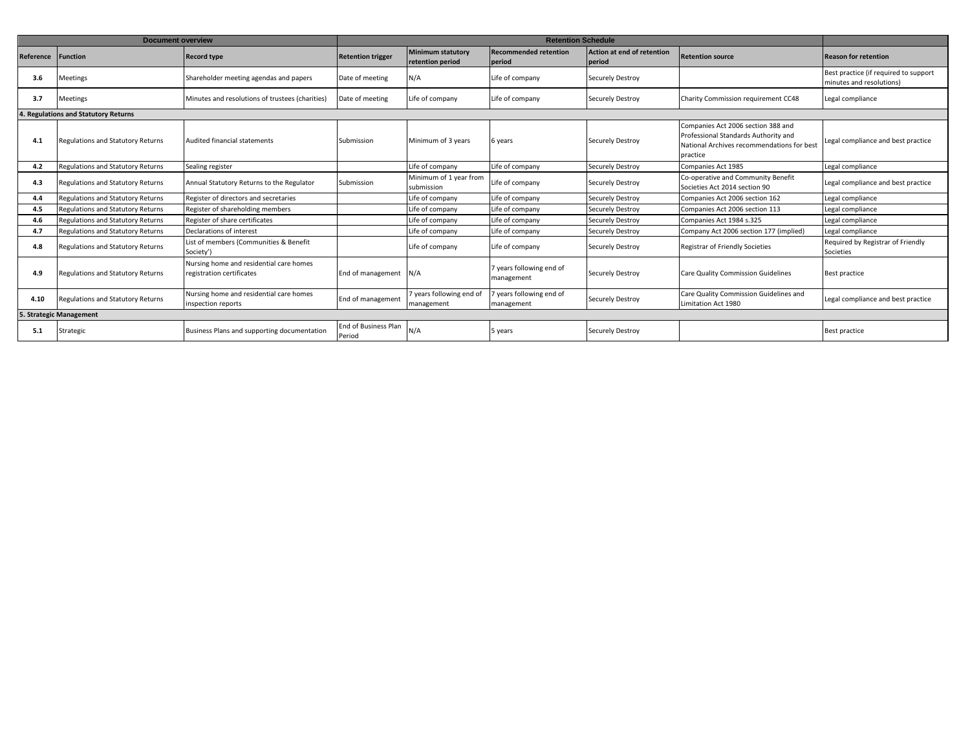|           | <b>Document overview</b>                 |                                                                      |                                |                                              |                                        |                                      |                                                                                                                                      |                                                                   |  |
|-----------|------------------------------------------|----------------------------------------------------------------------|--------------------------------|----------------------------------------------|----------------------------------------|--------------------------------------|--------------------------------------------------------------------------------------------------------------------------------------|-------------------------------------------------------------------|--|
| Reference | <b>Function</b>                          | <b>Record type</b>                                                   | <b>Retention trigger</b>       | <b>Minimum statutory</b><br>retention period | <b>Recommended retention</b><br>period | Action at end of retention<br>period | <b>Retention source</b>                                                                                                              | <b>Reason for retention</b>                                       |  |
| 3.6       | Meetings                                 | Shareholder meeting agendas and papers                               | Date of meeting                | N/A                                          | Life of company                        | Securely Destroy                     |                                                                                                                                      | Best practice (if required to support<br>minutes and resolutions) |  |
| 3.7       | Meetings                                 | Minutes and resolutions of trustees (charities)                      | Date of meeting                | Life of company                              | Life of company                        | Securely Destroy                     | Charity Commission requirement CC48                                                                                                  | Legal compliance                                                  |  |
|           | 4. Regulations and Statutory Returns     |                                                                      |                                |                                              |                                        |                                      |                                                                                                                                      |                                                                   |  |
| 4.1       | <b>Regulations and Statutory Returns</b> | Audited financial statements                                         | Submission                     | Minimum of 3 years                           | 6 years                                | Securely Destroy                     | Companies Act 2006 section 388 and<br>Professional Standards Authority and<br>National Archives recommendations for best<br>practice | Legal compliance and best practice                                |  |
| 4.2       | <b>Regulations and Statutory Returns</b> | Sealing register                                                     |                                | Life of company                              | Life of company                        | Securely Destroy                     | Companies Act 1985                                                                                                                   | Legal compliance                                                  |  |
| 4.3       | Regulations and Statutory Returns        | Annual Statutory Returns to the Regulator                            | Submission                     | Minimum of 1 year from<br>submission         | Life of company                        | Securely Destroy                     | Co-operative and Community Benefit<br>Societies Act 2014 section 90                                                                  | Legal compliance and best practice                                |  |
| 4.4       | <b>Regulations and Statutory Returns</b> | Register of directors and secretaries                                |                                | Life of company                              | Life of company                        | Securely Destroy                     | Companies Act 2006 section 162                                                                                                       | Legal compliance                                                  |  |
| 4.5       | Regulations and Statutory Returns        | Register of shareholding members                                     |                                | Life of company                              | Life of company                        | Securely Destroy                     | Companies Act 2006 section 113                                                                                                       | Legal compliance                                                  |  |
| 4.6       | Regulations and Statutory Returns        | Register of share certificates                                       |                                | Life of company                              | Life of company                        | Securely Destroy                     | Companies Act 1984 s.325                                                                                                             | Legal compliance                                                  |  |
| 4.7       | <b>Regulations and Statutory Returns</b> | Declarations of interest                                             |                                | Life of company                              | Life of company                        | Securely Destroy                     | Company Act 2006 section 177 (implied)                                                                                               | Legal compliance                                                  |  |
| 4.8       | Regulations and Statutory Returns        | List of members (Communities & Benefit<br>Society')                  |                                | Life of company                              | Life of company                        | Securely Destroy                     | Registrar of Friendly Societies                                                                                                      | Required by Registrar of Friendly<br>Societies                    |  |
| 4.9       | <b>Regulations and Statutory Returns</b> | Nursing home and residential care homes<br>registration certificates | End of management              | N/A                                          | 7 vears following end of<br>management | Securely Destroy                     | <b>Care Quality Commission Guidelines</b>                                                                                            | Best practice                                                     |  |
| 4.10      | Regulations and Statutory Returns        | Nursing home and residential care homes<br>inspection reports        | End of management              | 7 years following end of<br>management       | years following end of<br>management   | Securely Destroy                     | Care Quality Commission Guidelines and<br>Limitation Act 1980                                                                        | Legal compliance and best practice                                |  |
|           | 5. Strategic Management                  |                                                                      |                                |                                              |                                        |                                      |                                                                                                                                      |                                                                   |  |
| 5.1       | Strategic                                | Business Plans and supporting documentation                          | End of Business Plan<br>Period | N/A                                          | 5 years                                | Securely Destroy                     |                                                                                                                                      | Best practice                                                     |  |
|           |                                          |                                                                      |                                |                                              |                                        |                                      |                                                                                                                                      |                                                                   |  |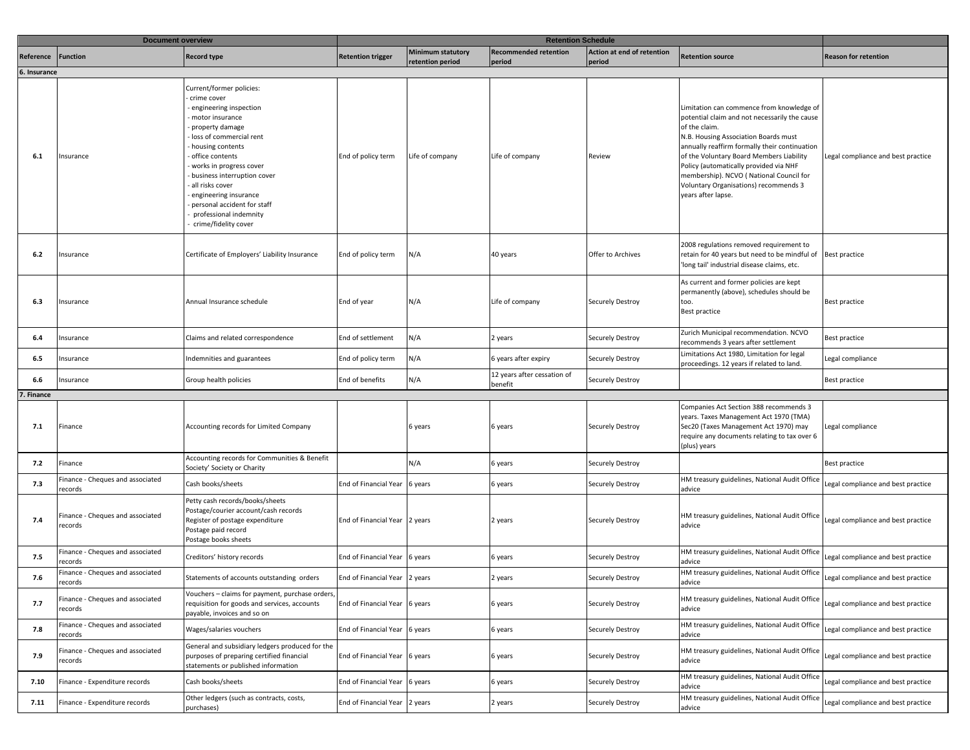|              | <b>Document overview</b>                                |                                                                                                                                                                                                                                                                                                                                                                                | <b>Retention Schedule</b>     |                                              |                                        |                                      |                                                                                                                                                                                                                                                                                                                                                                                                      |                                    |
|--------------|---------------------------------------------------------|--------------------------------------------------------------------------------------------------------------------------------------------------------------------------------------------------------------------------------------------------------------------------------------------------------------------------------------------------------------------------------|-------------------------------|----------------------------------------------|----------------------------------------|--------------------------------------|------------------------------------------------------------------------------------------------------------------------------------------------------------------------------------------------------------------------------------------------------------------------------------------------------------------------------------------------------------------------------------------------------|------------------------------------|
| ≀eference    | <b>Function</b>                                         | <b>Record type</b>                                                                                                                                                                                                                                                                                                                                                             | <b>Retention trigger</b>      | <b>Minimum statutory</b><br>retention period | <b>Recommended retention</b><br>period | Action at end of retention<br>period | <b>Retention source</b>                                                                                                                                                                                                                                                                                                                                                                              | <b>Reason for retention</b>        |
| 6. Insurance |                                                         |                                                                                                                                                                                                                                                                                                                                                                                |                               |                                              |                                        |                                      |                                                                                                                                                                                                                                                                                                                                                                                                      |                                    |
| 6.1          | Insurance                                               | Current/former policies:<br>crime cover<br>- engineering inspection<br>- motor insurance<br>property damage<br>- loss of commercial rent<br>- housing contents<br>- office contents<br>works in progress cover<br>- business interruption cover<br>- all risks cover<br>engineering insurance<br>personal accident for staff<br>professional indemnity<br>crime/fidelity cover | End of policy term            | Life of company                              | Life of company                        | Review                               | Limitation can commence from knowledge of<br>potential claim and not necessarily the cause<br>of the claim.<br>N.B. Housing Association Boards must<br>annually reaffirm formally their continuation<br>of the Voluntary Board Members Liability<br>Policy (automatically provided via NHF<br>membership). NCVO (National Council for<br>Voluntary Organisations) recommends 3<br>years after lapse. | Legal compliance and best practice |
| 6.2          | Insurance                                               | Certificate of Employers' Liability Insurance                                                                                                                                                                                                                                                                                                                                  | End of policy term            | N/A                                          | 40 years                               | Offer to Archives                    | 2008 regulations removed requirement to<br>retain for 40 years but need to be mindful of<br>'long tail' industrial disease claims, etc.                                                                                                                                                                                                                                                              | Best practice                      |
| 6.3          | Insurance                                               | Annual Insurance schedule                                                                                                                                                                                                                                                                                                                                                      | End of year                   | N/A                                          | Life of company                        | Securely Destroy                     | As current and former policies are kept<br>permanently (above), schedules should be<br>too.<br>Best practice                                                                                                                                                                                                                                                                                         | Best practice                      |
| 6.4          | Insurance                                               | Claims and related correspondence                                                                                                                                                                                                                                                                                                                                              | End of settlement             | N/A                                          | 2 years                                | Securely Destroy                     | Zurich Municipal recommendation. NCVO<br>recommends 3 years after settlement                                                                                                                                                                                                                                                                                                                         | Best practice                      |
| 6.5          | nsurance                                                | Indemnities and guarantees                                                                                                                                                                                                                                                                                                                                                     | End of policy term            | N/A                                          | 6 years after expiry                   | Securely Destroy                     | Limitations Act 1980, Limitation for legal<br>proceedings. 12 years if related to land.                                                                                                                                                                                                                                                                                                              | Legal compliance                   |
| 6.6          | nsurance                                                | Group health policies                                                                                                                                                                                                                                                                                                                                                          | End of benefits               | N/A                                          | 12 years after cessation of<br>benefit | Securely Destroy                     |                                                                                                                                                                                                                                                                                                                                                                                                      | Best practice                      |
| Finance      |                                                         |                                                                                                                                                                                                                                                                                                                                                                                |                               |                                              |                                        |                                      |                                                                                                                                                                                                                                                                                                                                                                                                      |                                    |
| 7.1          | Finance                                                 | Accounting records for Limited Company                                                                                                                                                                                                                                                                                                                                         |                               | 6 years                                      | 6 years                                | Securely Destroy                     | Companies Act Section 388 recommends 3<br>years. Taxes Management Act 1970 (TMA)<br>Sec20 (Taxes Management Act 1970) may<br>require any documents relating to tax over 6<br>(plus) years                                                                                                                                                                                                            | Legal compliance                   |
| 7.2          | Finance                                                 | Accounting records for Communities & Benefit<br>Society' Society or Charity                                                                                                                                                                                                                                                                                                    |                               | N/A                                          | 6 years                                | Securely Destroy                     |                                                                                                                                                                                                                                                                                                                                                                                                      | Best practice                      |
| 7.3          | Finance - Cheques and associated<br>records             | Cash books/sheets                                                                                                                                                                                                                                                                                                                                                              | End of Financial Year         | 6 years                                      | 6 years                                | Securely Destroy                     | HM treasury guidelines, National Audit Office<br>advice                                                                                                                                                                                                                                                                                                                                              | Legal compliance and best practice |
| 7.4          | inance - Cheques and associated<br>records              | Petty cash records/books/sheets<br>Postage/courier account/cash records<br>Register of postage expenditure<br>Postage paid record<br>Postage books sheets                                                                                                                                                                                                                      | End of Financial Year         | 2 years                                      | 2 years                                | Securely Destroy                     | HM treasury guidelines, National Audit Office<br>advice                                                                                                                                                                                                                                                                                                                                              | Legal compliance and best practice |
| 7.5          | inance - Cheques and associated<br>ecords               | Creditors' history records                                                                                                                                                                                                                                                                                                                                                     | End of Financial Year         | 6 years                                      | 6 years                                | Securely Destroy                     | HM treasury guidelines, National Audit Office<br>advice                                                                                                                                                                                                                                                                                                                                              | Legal compliance and best practice |
| 7.6          | Finance - Cheques and associated<br>ecords <sup>.</sup> | Statements of accounts outstanding orders                                                                                                                                                                                                                                                                                                                                      | End of Financial Year 2 years |                                              | 2 years                                | Securely Destroy                     | HM treasury guidelines, National Audit Office<br>advice                                                                                                                                                                                                                                                                                                                                              | Legal compliance and best practice |
| 7.7          | Finance - Cheques and associated<br>records             | Vouchers - claims for payment, purchase orders,<br>requisition for goods and services, accounts<br>payable, invoices and so on                                                                                                                                                                                                                                                 | End of Financial Year         | 6 years                                      | 6 years                                | Securely Destroy                     | HM treasury guidelines, National Audit Office<br>advice                                                                                                                                                                                                                                                                                                                                              | Legal compliance and best practice |
| 7.8          | Finance - Cheques and associated<br>records             | Wages/salaries vouchers                                                                                                                                                                                                                                                                                                                                                        | End of Financial Year         | 6 years                                      | 6 years                                | Securely Destroy                     | HM treasury guidelines, National Audit Office<br>advice                                                                                                                                                                                                                                                                                                                                              | Legal compliance and best practice |
| 7.9          | inance - Cheques and associated<br>records              | General and subsidiary ledgers produced for the<br>purposes of preparing certified financial<br>statements or published information                                                                                                                                                                                                                                            | End of Financial Year         | 6 years                                      | 6 years                                | Securely Destroy                     | HM treasury guidelines, National Audit Office<br>advice                                                                                                                                                                                                                                                                                                                                              | Legal compliance and best practice |
| 7.10         | Finance - Expenditure records                           | Cash books/sheets                                                                                                                                                                                                                                                                                                                                                              | End of Financial Year         | 6 years                                      | 6 years                                | Securely Destroy                     | HM treasury guidelines, National Audit Office<br>advice                                                                                                                                                                                                                                                                                                                                              | Legal compliance and best practice |
| 7.11         | Finance - Expenditure records                           | Other ledgers (such as contracts, costs,<br>purchases)                                                                                                                                                                                                                                                                                                                         | End of Financial Year         | 2 years                                      | 2 years                                | Securely Destroy                     | HM treasury guidelines, National Audit Office<br>advice                                                                                                                                                                                                                                                                                                                                              | Legal compliance and best practice |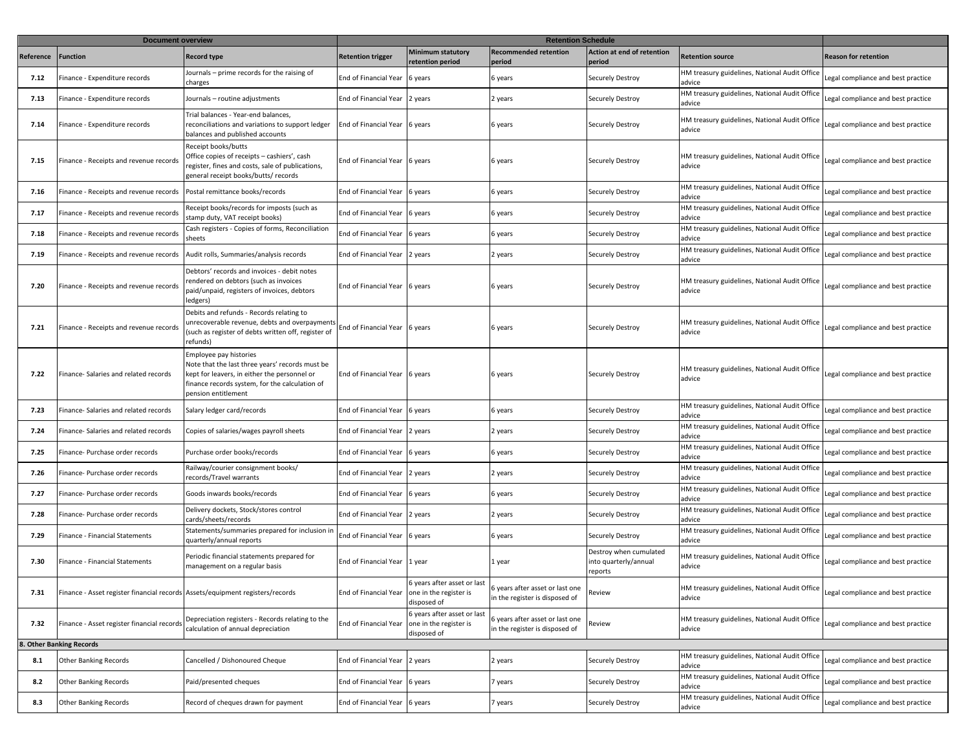|           | <b>Document overview</b>                                                      |                                                                                                                                                                                                    | <b>Retention Schedule</b> |                                                                      |                                                                   |                                                            |                                                         |                                    |
|-----------|-------------------------------------------------------------------------------|----------------------------------------------------------------------------------------------------------------------------------------------------------------------------------------------------|---------------------------|----------------------------------------------------------------------|-------------------------------------------------------------------|------------------------------------------------------------|---------------------------------------------------------|------------------------------------|
| Reference | Function                                                                      | <b>Record type</b>                                                                                                                                                                                 | <b>Retention trigger</b>  | <b>Minimum statutory</b><br>retention period                         | <b>Recommended retention</b><br>period                            | <b>Action at end of retention</b><br>period                | <b>Retention source</b>                                 | <b>Reason for retention</b>        |
| 7.12      | Finance - Expenditure records                                                 | Journals - prime records for the raising of<br>charges                                                                                                                                             | End of Financial Year     | 6 years                                                              | 6 years                                                           | Securely Destroy                                           | HM treasury guidelines, National Audit Office<br>advice | egal compliance and best practice  |
| 7.13      | Finance - Expenditure records                                                 | Journals - routine adjustments                                                                                                                                                                     | End of Financial Year     | 2 years                                                              | 2 years                                                           | Securely Destroy                                           | HM treasury guidelines, National Audit Office<br>advice | Legal compliance and best practice |
| 7.14      | inance - Expenditure records                                                  | Trial balances - Year-end balances,<br>reconciliations and variations to support ledger<br>balances and published accounts                                                                         | End of Financial Year     | 6 years                                                              | 6 years                                                           | Securely Destroy                                           | HM treasury guidelines, National Audit Office<br>advice | egal compliance and best practice  |
| 7.15      | Finance - Receipts and revenue records                                        | Receipt books/butts<br>Office copies of receipts - cashiers', cash<br>register, fines and costs, sale of publications,<br>general receipt books/butts/ records                                     | End of Financial Year     | 6 years                                                              | 6 years                                                           | Securely Destroy                                           | HM treasury guidelines, National Audit Office<br>advice | egal compliance and best practice  |
| 7.16      | Finance - Receipts and revenue records                                        | Postal remittance books/records                                                                                                                                                                    | End of Financial Year     | 6 years                                                              | 6 years                                                           | Securely Destroy                                           | HM treasury guidelines, National Audit Office<br>advice | egal compliance and best practice  |
| 7.17      | inance - Receipts and revenue records                                         | Receipt books/records for imposts (such as<br>stamp duty, VAT receipt books)                                                                                                                       | End of Financial Year     | 6 years                                                              | 6 years                                                           | Securely Destroy                                           | HM treasury guidelines, National Audit Office<br>advice | egal compliance and best practice  |
| 7.18      | Finance - Receipts and revenue records                                        | Cash registers - Copies of forms, Reconciliation<br>sheets                                                                                                                                         | End of Financial Year     | 6 years                                                              | 6 years                                                           | Securely Destroy                                           | HM treasury guidelines, National Audit Office<br>advice | Legal compliance and best practice |
| 7.19      | Finance - Receipts and revenue records                                        | Audit rolls, Summaries/analysis records                                                                                                                                                            | End of Financial Year     | 2 years                                                              | 2 years                                                           | Securely Destroy                                           | HM treasury guidelines, National Audit Office<br>advice | Legal compliance and best practice |
| 7.20      | Finance - Receipts and revenue records                                        | Debtors' records and invoices - debit notes<br>rendered on debtors (such as invoices<br>paid/unpaid, registers of invoices, debtors<br>ledgers)                                                    | End of Financial Year     | 6 years                                                              | 6 years                                                           | Securely Destroy                                           | HM treasury guidelines, National Audit Office<br>advice | Legal compliance and best practice |
| 7.21      | Finance - Receipts and revenue records                                        | Debits and refunds - Records relating to<br>unrecoverable revenue, debts and overpayments<br>such as register of debts written off, register of<br>refunds)                                        | End of Financial Year     | 6 years                                                              | 6 years                                                           | Securely Destroy                                           | HM treasury guidelines, National Audit Office<br>advice | Legal compliance and best practice |
| 7.22      | Finance- Salaries and related records                                         | Employee pay histories<br>Note that the last three years' records must be<br>kept for leavers, in either the personnel or<br>finance records system, for the calculation of<br>pension entitlement | End of Financial Year     | 6 years                                                              | 6 years                                                           | Securely Destroy                                           | HM treasury guidelines, National Audit Office<br>advice | Legal compliance and best practice |
| 7.23      | Finance- Salaries and related records                                         | Salary ledger card/records                                                                                                                                                                         | End of Financial Year     | 6 years                                                              | 6 years                                                           | Securely Destroy                                           | HM treasury guidelines, National Audit Office<br>advice | Legal compliance and best practice |
| 7.24      | inance- Salaries and related records                                          | Copies of salaries/wages payroll sheets                                                                                                                                                            | End of Financial Year     | years                                                                | 2 years                                                           | Securely Destroy                                           | HM treasury guidelines, National Audit Office<br>advice | egal compliance and best practice  |
| 7.25      | Finance- Purchase order records                                               | Purchase order books/records                                                                                                                                                                       | End of Financial Year     | 6 years                                                              | 6 years                                                           | Securely Destroy                                           | HM treasury guidelines, National Audit Office<br>advice | legal compliance and best practice |
| 7.26      | Finance- Purchase order records                                               | Railway/courier consignment books/<br>records/Travel warrants                                                                                                                                      | End of Financial Year     | 2 years                                                              | 2 years                                                           | Securely Destroy                                           | HM treasury guidelines, National Audit Office<br>advice | egal compliance and best practice  |
| 7.27      | inance- Purchase order records                                                | Goods inwards books/records                                                                                                                                                                        | End of Financial Year     | 6 years                                                              | 6 years                                                           | Securely Destroy                                           | HM treasury guidelines, National Audit Office<br>advice | egal compliance and best practice  |
| 7.28      | inance- Purchase order records                                                | Delivery dockets, Stock/stores control<br>cards/sheets/records                                                                                                                                     | End of Financial Year     | 2 years                                                              | 2 years                                                           | Securely Destroy                                           | HM treasury guidelines, National Audit Office<br>advice | egal compliance and best practice  |
| 7.29      | inance - Financial Statements                                                 | Statements/summaries prepared for inclusion in<br>quarterly/annual reports                                                                                                                         | End of Financial Year     | 6 years                                                              | 6 years                                                           | Securely Destroy                                           | HM treasury guidelines, National Audit Office<br>advice | Legal compliance and best practice |
| 7.30      | Finance - Financial Statements                                                | Periodic financial statements prepared for<br>management on a regular basis                                                                                                                        | End of Financial Year     | 1 year                                                               | 1 year                                                            | Destroy when cumulated<br>into quarterly/annual<br>reports | HM treasury guidelines, National Audit Office<br>advice | Legal compliance and best practice |
| 7.31      | Finance - Asset register financial records Assets/equipment registers/records |                                                                                                                                                                                                    | End of Financial Year     | 6 years after asset or last<br>one in the register is<br>disposed of | 6 years after asset or last one<br>n the register is disposed of  | Review                                                     | HM treasury guidelines, National Audit Office<br>advice | Legal compliance and best practice |
| 7.32      | Finance - Asset register financial records                                    | Depreciation registers - Records relating to the<br>calculation of annual depreciation                                                                                                             | End of Financial Year     | 5 years after asset or last<br>one in the register is<br>disposed of | 5 years after asset or last one<br>in the register is disposed of | Review                                                     | HM treasury guidelines, National Audit Office<br>advice | Legal compliance and best practice |
|           | 8. Other Banking Records                                                      |                                                                                                                                                                                                    |                           |                                                                      |                                                                   |                                                            |                                                         |                                    |
| 8.1       | <b>Other Banking Records</b>                                                  | Cancelled / Dishonoured Cheque                                                                                                                                                                     | End of Financial Year     | 2 years                                                              | 2 years                                                           | Securely Destroy                                           | IM treasury guidelines, National Audit Office<br>advice | Legal compliance and best practice |
| 8.2       | <b>Other Banking Records</b>                                                  | Paid/presented cheques                                                                                                                                                                             | End of Financial Year     | 6 years                                                              | 7 years                                                           | Securely Destroy                                           | HM treasury guidelines, National Audit Office<br>advice | Legal compliance and best practice |
| 8.3       | <b>Other Banking Records</b>                                                  | Record of cheques drawn for payment                                                                                                                                                                | End of Financial Year     | 6 years                                                              | 7 years                                                           | Securely Destroy                                           | HM treasury guidelines, National Audit Office<br>advice | egal compliance and best practice  |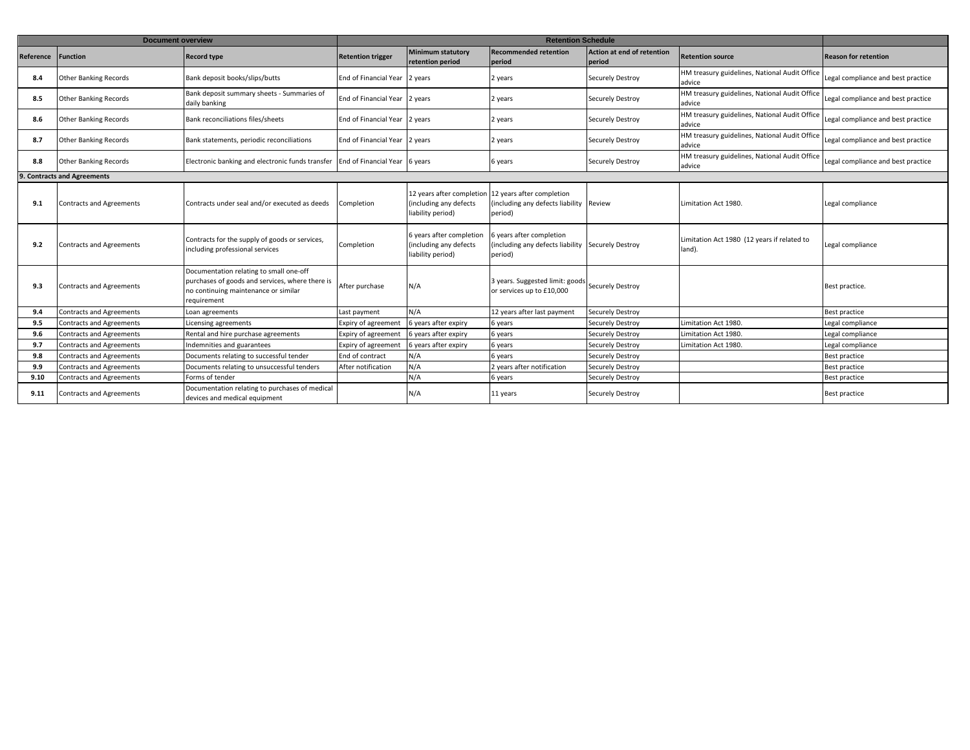|           | <b>Document overview</b>        |                                                                                                                                                   |                              | <b>Retention Schedule</b>                                                |                                                                                        |                                             |                                                         |                                    |  |
|-----------|---------------------------------|---------------------------------------------------------------------------------------------------------------------------------------------------|------------------------------|--------------------------------------------------------------------------|----------------------------------------------------------------------------------------|---------------------------------------------|---------------------------------------------------------|------------------------------------|--|
| Reference | <b>Function</b>                 | <b>Record type</b>                                                                                                                                | <b>Retention trigger</b>     | <b>Minimum statutory</b><br>retention period                             | <b>Recommended retention</b><br>period                                                 | <b>Action at end of retention</b><br>period | <b>Retention source</b>                                 | <b>Reason for retention</b>        |  |
| 8.4       | <b>Other Banking Records</b>    | Bank deposit books/slips/butts                                                                                                                    | <b>End of Financial Year</b> | 2 vears                                                                  | 2 years                                                                                | Securely Destroy                            | HM treasury guidelines, National Audit Office<br>advice | Legal compliance and best practice |  |
| 8.5       | <b>Other Banking Records</b>    | Bank deposit summary sheets - Summaries of<br>daily banking                                                                                       | End of Financial Year        | 2 years                                                                  | 2 years                                                                                | Securely Destroy                            | HM treasury guidelines, National Audit Office<br>advice | Legal compliance and best practice |  |
| 8.6       | <b>Other Banking Records</b>    | Bank reconciliations files/sheets                                                                                                                 | End of Financial Year        | 2 years                                                                  | 2 years                                                                                | Securely Destroy                            | HM treasury guidelines, National Audit Office<br>advice | Legal compliance and best practice |  |
| 8.7       | <b>Other Banking Records</b>    | Bank statements, periodic reconciliations                                                                                                         | End of Financial Year        | 2 years                                                                  | 2 years                                                                                | Securely Destroy                            | HM treasury guidelines, National Audit Office<br>advice | Legal compliance and best practice |  |
| 8.8       | <b>Other Banking Records</b>    | Electronic banking and electronic funds transfer End of Financial Year                                                                            |                              | 6 years                                                                  | 6 years                                                                                | Securely Destroy                            | HM treasury guidelines, National Audit Office<br>advice | Legal compliance and best practice |  |
|           | 9. Contracts and Agreements     |                                                                                                                                                   |                              |                                                                          |                                                                                        |                                             |                                                         |                                    |  |
| 9.1       | <b>Contracts and Agreements</b> | Contracts under seal and/or executed as deeds                                                                                                     | Completion                   | 12 years after completion<br>(including any defects<br>liability period) | 12 years after completion<br>(including any defects liability Review<br>period)        |                                             | Limitation Act 1980.                                    | Legal compliance                   |  |
| 9.2       | <b>Contracts and Agreements</b> | Contracts for the supply of goods or services,<br>including professional services                                                                 | Completion                   | 6 years after completion<br>(including any defects<br>liability period)  | vears after completion<br>(including any defects liability Securely Destroy<br>period) |                                             | Limitation Act 1980 (12 years if related to<br>land).   | Legal compliance                   |  |
| 9.3       | <b>Contracts and Agreements</b> | Documentation relating to small one-off<br>purchases of goods and services, where there is<br>no continuing maintenance or similar<br>requirement | After purchase               | N/A                                                                      | 3 years. Suggested limit: goods Securely Destroy<br>or services up to £10,000          |                                             |                                                         | Best practice.                     |  |
| 9.4       | <b>Contracts and Agreements</b> | oan agreements                                                                                                                                    | Last payment                 | N/A                                                                      | 12 years after last payment                                                            | Securely Destroy                            |                                                         | Best practice                      |  |
| 9.5       | <b>Contracts and Agreements</b> | icensing agreements                                                                                                                               | Expiry of agreement          | 6 years after expiry                                                     | 6 years                                                                                | Securely Destroy                            | Limitation Act 1980.                                    | Legal compliance                   |  |
| 9.6       | <b>Contracts and Agreements</b> | Rental and hire purchase agreements                                                                                                               | Expiry of agreement          | 6 years after expiry                                                     | 6 years                                                                                | Securely Destroy                            | Limitation Act 1980.                                    | Legal compliance                   |  |
| 9.7       | <b>Contracts and Agreements</b> | Indemnities and guarantees                                                                                                                        | Expiry of agreement          | 6 years after expiry                                                     | 6 years                                                                                | Securely Destroy                            | Limitation Act 1980.                                    | Legal compliance                   |  |
| 9.8       | Contracts and Agreements        | Documents relating to successful tender                                                                                                           | End of contract              | N/A                                                                      | 6 vears                                                                                | <b>Securely Destroy</b>                     |                                                         | <b>Best practice</b>               |  |
| 9.9       | <b>Contracts and Agreements</b> | Documents relating to unsuccessful tenders                                                                                                        | After notification           | N/A                                                                      | 2 years after notification                                                             | Securely Destroy                            |                                                         | Best practice                      |  |
| 9.10      | Contracts and Agreements        | Forms of tender                                                                                                                                   |                              | N/A                                                                      | 6 years                                                                                | Securely Destroy                            |                                                         | <b>Best practice</b>               |  |
| 9.11      | Contracts and Agreements        | Documentation relating to purchases of medical<br>devices and medical equipment                                                                   |                              | N/A                                                                      | 11 years                                                                               | Securely Destroy                            |                                                         | <b>Best practice</b>               |  |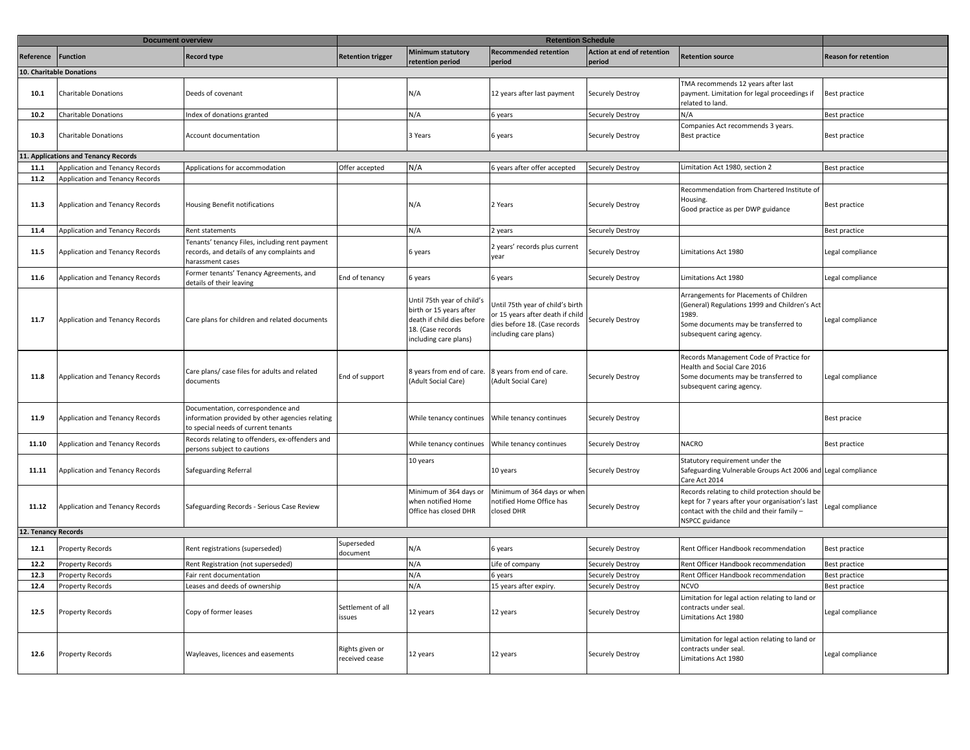|                     | <b>Document overview</b>             |                                                                                                                             |                                   |                                                                                                                                   | <b>Retention Schedule</b>                                                                                                      |                                      |                                                                                                                                                                         |                             |
|---------------------|--------------------------------------|-----------------------------------------------------------------------------------------------------------------------------|-----------------------------------|-----------------------------------------------------------------------------------------------------------------------------------|--------------------------------------------------------------------------------------------------------------------------------|--------------------------------------|-------------------------------------------------------------------------------------------------------------------------------------------------------------------------|-----------------------------|
| Reference           | Function                             | <b>Record type</b>                                                                                                          | <b>Retention trigger</b>          | <b>Minimum statutory</b><br>retention period                                                                                      | <b>Recommended retention</b><br>period                                                                                         | Action at end of retention<br>period | Retention source                                                                                                                                                        | <b>Reason for retention</b> |
|                     | 10. Charitable Donations             |                                                                                                                             |                                   |                                                                                                                                   |                                                                                                                                |                                      |                                                                                                                                                                         |                             |
| 10.1                | <b>Charitable Donations</b>          | Deeds of covenant                                                                                                           |                                   | N/A                                                                                                                               | 12 years after last payment                                                                                                    | Securely Destroy                     | TMA recommends 12 years after last<br>payment. Limitation for legal proceedings if<br>related to land.                                                                  | <b>Best practice</b>        |
| 10.2                | Charitable Donations                 | Index of donations granted                                                                                                  |                                   | N/A                                                                                                                               | 5 years                                                                                                                        | <b>Securely Destroy</b>              | N/A                                                                                                                                                                     | Best practice               |
| 10.3                | <b>Charitable Donations</b>          | Account documentation                                                                                                       |                                   | 3 Years                                                                                                                           | 6 years                                                                                                                        | <b>Securely Destroy</b>              | Companies Act recommends 3 years.<br>Best practice                                                                                                                      | Best practice               |
|                     | 11. Applications and Tenancy Records |                                                                                                                             |                                   |                                                                                                                                   |                                                                                                                                |                                      |                                                                                                                                                                         |                             |
| 11.1                | Application and Tenancy Records      | Applications for accommodation                                                                                              | Offer accepted                    | N/A                                                                                                                               | 5 years after offer accepted                                                                                                   | <b>Securely Destroy</b>              | Limitation Act 1980, section 2                                                                                                                                          | Best practice               |
| 11.2                | Application and Tenancy Records      |                                                                                                                             |                                   |                                                                                                                                   |                                                                                                                                |                                      |                                                                                                                                                                         |                             |
| 11.3                | Application and Tenancy Records      | Housing Benefit notifications                                                                                               |                                   | N/A                                                                                                                               | 2 Years                                                                                                                        | Securely Destroy                     | Recommendation from Chartered Institute of<br>Housing.<br>Good practice as per DWP guidance                                                                             | Best practice               |
| 11.4                | Application and Tenancy Records      | Rent statements                                                                                                             |                                   | N/A                                                                                                                               | 2 years                                                                                                                        | Securely Destroy                     |                                                                                                                                                                         | Best practice               |
| 11.5                | Application and Tenancy Records      | Tenants' tenancy Files, including rent payment<br>records, and details of any complaints and<br>harassment cases            |                                   | 6 years                                                                                                                           | 2 years' records plus current<br>year                                                                                          | <b>Securely Destroy</b>              | Limitations Act 1980                                                                                                                                                    | Legal compliance            |
| 11.6                | Application and Tenancy Records      | Former tenants' Tenancy Agreements, and<br>details of their leaving                                                         | End of tenancy                    | 6 years                                                                                                                           | 6 years                                                                                                                        | <b>Securely Destroy</b>              | Limitations Act 1980                                                                                                                                                    | Legal compliance            |
| 11.7                | Application and Tenancy Records      | Care plans for children and related documents                                                                               |                                   | Until 75th year of child's<br>birth or 15 years after<br>death if child dies before<br>18. (Case records<br>including care plans) | Jntil 75th year of child's birth<br>or 15 years after death if child<br>dies before 18. (Case records<br>including care plans) | Securely Destroy                     | Arrangements for Placements of Children<br>(General) Regulations 1999 and Children's Act<br>1989.<br>Some documents may be transferred to<br>subsequent caring agency.  | Legal compliance            |
| 11.8                | Application and Tenancy Records      | Care plans/ case files for adults and related<br>documents                                                                  | End of support                    | 8 years from end of care.<br>(Adult Social Care)                                                                                  | 8 years from end of care.<br>Adult Social Care)                                                                                | Securely Destroy                     | Records Management Code of Practice for<br>Health and Social Care 2016<br>Some documents may be transferred to<br>subsequent caring agency.                             | Legal compliance            |
| 11.9                | Application and Tenancy Records      | Documentation, correspondence and<br>information provided by other agencies relating<br>to special needs of current tenants |                                   |                                                                                                                                   |                                                                                                                                | Securely Destroy                     |                                                                                                                                                                         | Best pracice                |
| 11.10               | Application and Tenancy Records      | Records relating to offenders, ex-offenders and<br>persons subject to cautions                                              |                                   | While tenancy continues                                                                                                           | While tenancy continues                                                                                                        | <b>Securely Destroy</b>              | <b>NACRO</b>                                                                                                                                                            | Best practice               |
| 11.11               | Application and Tenancy Records      | Safeguarding Referral                                                                                                       |                                   | 10 years                                                                                                                          | 10 years                                                                                                                       | Securely Destroy                     | Statutory requirement under the<br>Safeguarding Vulnerable Groups Act 2006 and Legal compliance<br>Care Act 2014                                                        |                             |
| 11.12               | Application and Tenancy Records      | Safeguarding Records - Serious Case Review                                                                                  |                                   | Minimum of 364 days or<br>when notified Home<br>Office has closed DHR                                                             | Minimum of 364 days or when<br>notified Home Office has<br>closed DHR                                                          | Securely Destroy                     | Records relating to child protection should be<br>kept for 7 years after your organisation's last<br>contact with the child and their family -<br><b>NSPCC</b> guidance | Legal compliance            |
| 12. Tenancy Records |                                      |                                                                                                                             |                                   |                                                                                                                                   |                                                                                                                                |                                      |                                                                                                                                                                         |                             |
| 12.1                | Property Records                     | Rent registrations (superseded)                                                                                             | Superseded<br>document            | N/A                                                                                                                               | 6 years                                                                                                                        | Securely Destroy                     | Rent Officer Handbook recommendation                                                                                                                                    | <b>Best practice</b>        |
| 12.2                | Property Records                     | Rent Registration (not superseded)                                                                                          |                                   | N/A                                                                                                                               | ife of company.                                                                                                                | Securely Destroy                     | Rent Officer Handbook recommendation                                                                                                                                    | Best practice               |
| 12.3                | Property Records                     | Fair rent documentation                                                                                                     |                                   | N/A                                                                                                                               | 5 years                                                                                                                        | <b>Securely Destroy</b>              | Rent Officer Handbook recommendation                                                                                                                                    | Best practice               |
| 12.4                | roperty Records                      | Leases and deeds of ownership                                                                                               |                                   | N/A                                                                                                                               | 15 years after expiry.                                                                                                         | Securely Destroy                     | NCVO                                                                                                                                                                    | Best practice               |
| 12.5                | Property Records                     | Copy of former leases                                                                                                       | Settlement of all<br>issues       | 12 years                                                                                                                          | 12 years                                                                                                                       | Securely Destroy                     | Limitation for legal action relating to land or<br>contracts under seal.<br>Limitations Act 1980                                                                        | Legal compliance            |
| 12.6                | Property Records                     | Wayleaves, licences and easements                                                                                           | Rights given or<br>received cease | 12 years                                                                                                                          | 12 years                                                                                                                       | Securely Destroy                     | Limitation for legal action relating to land or<br>contracts under seal.<br>Limitations Act 1980                                                                        | Legal compliance            |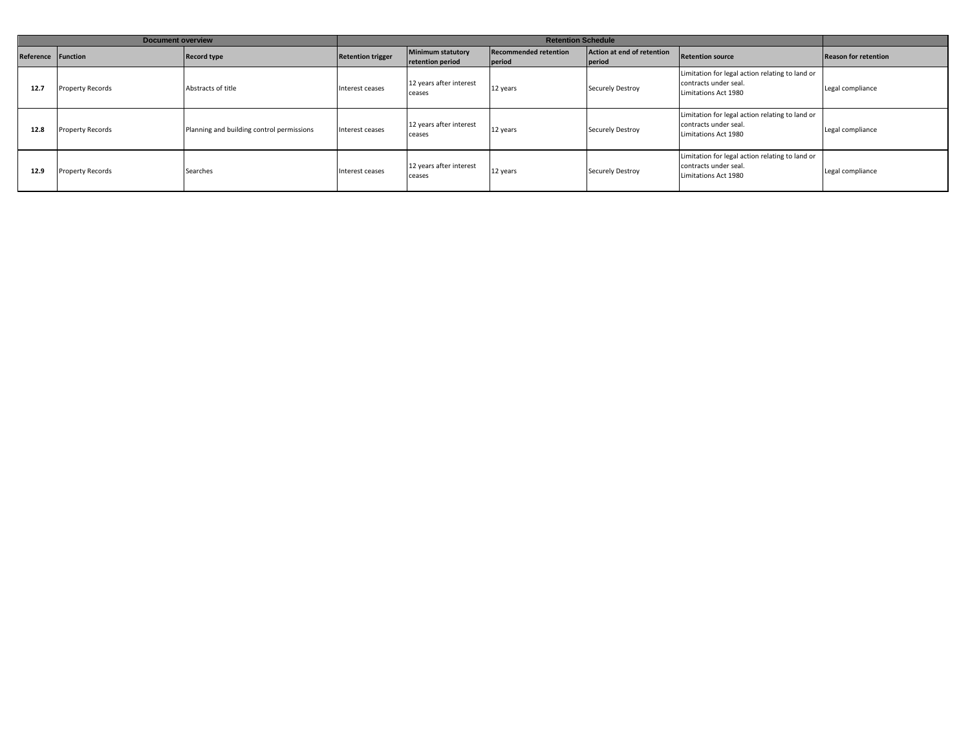|           | Document overview |                                           |                          | <b>Retention Schedule</b>             |                                        |                                      |                                                                                                  |                             |  |
|-----------|-------------------|-------------------------------------------|--------------------------|---------------------------------------|----------------------------------------|--------------------------------------|--------------------------------------------------------------------------------------------------|-----------------------------|--|
| Reference | Function          | <b>Record type</b>                        | <b>Retention trigger</b> | Minimum statutory<br>retention period | <b>Recommended retention</b><br>period | Action at end of retention<br>period | <b>Retention source</b>                                                                          | <b>Reason for retention</b> |  |
| 12.7      | Property Records  | Abstracts of title                        | Interest ceases          | 12 years after interest<br>ceases     | 12 years                               | <b>Securely Destroy</b>              | Limitation for legal action relating to land or<br>contracts under seal.<br>Limitations Act 1980 | Legal compliance            |  |
| 12.8      | Property Records  | Planning and building control permissions | Interest ceases          | 12 years after interest<br>ceases     | 12 years                               | <b>Securely Destroy</b>              | Limitation for legal action relating to land or<br>contracts under seal.<br>Limitations Act 1980 | Legal compliance            |  |
| 12.9      | Property Records  | Searches                                  | Interest ceases          | 12 years after interest<br>ceases     | 12 years                               | <b>Securely Destroy</b>              | Limitation for legal action relating to land or<br>contracts under seal.<br>Limitations Act 1980 | Legal compliance            |  |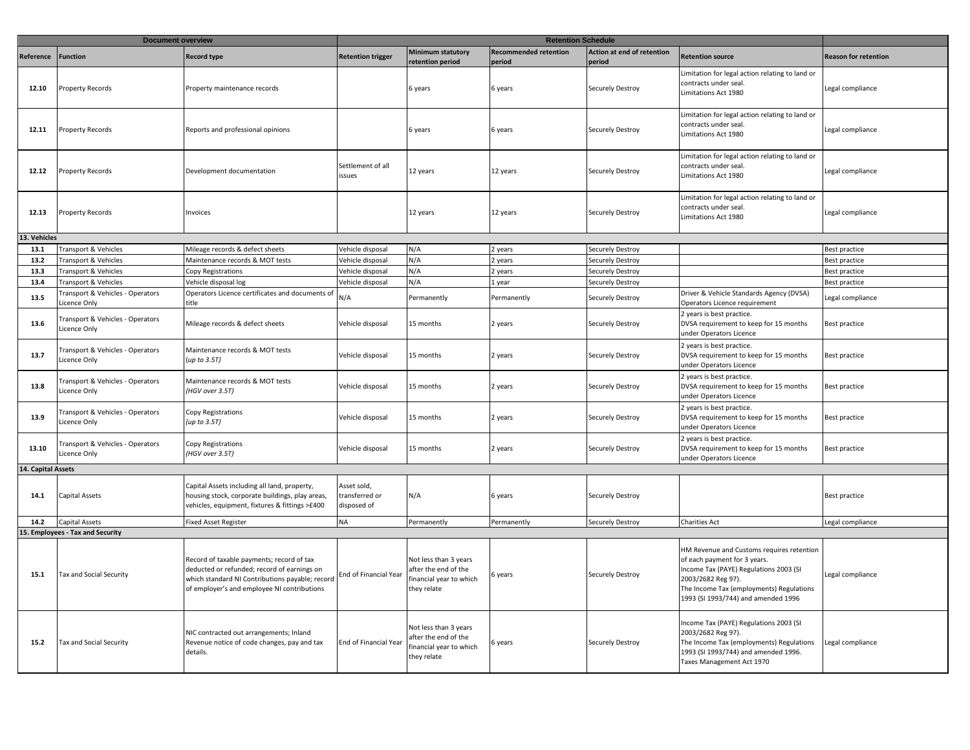|                    | <b>Document overview</b>                         |                                                                                                                                                                                            |                                              |                                                                                        | <b>Retention Schedule</b>              |                                      |                                                                                                                                                                                                                              |                             |
|--------------------|--------------------------------------------------|--------------------------------------------------------------------------------------------------------------------------------------------------------------------------------------------|----------------------------------------------|----------------------------------------------------------------------------------------|----------------------------------------|--------------------------------------|------------------------------------------------------------------------------------------------------------------------------------------------------------------------------------------------------------------------------|-----------------------------|
| Reference          | <b>Function</b>                                  | <b>Record type</b>                                                                                                                                                                         | <b>Retention trigger</b>                     | <b>Minimum statutory</b><br>retention period                                           | <b>Recommended retention</b><br>period | Action at end of retention<br>period | Retention source                                                                                                                                                                                                             | <b>Reason for retention</b> |
| 12.10              | Property Records                                 | Property maintenance records                                                                                                                                                               |                                              | 6 years                                                                                | 6 years                                | Securely Destroy                     | Limitation for legal action relating to land or<br>contracts under seal.<br>Limitations Act 1980                                                                                                                             | Legal compliance            |
| 12.11              | Property Records                                 | Reports and professional opinions                                                                                                                                                          |                                              | 6 years                                                                                | 6 years                                | Securely Destroy                     | Limitation for legal action relating to land or<br>contracts under seal.<br>Limitations Act 1980                                                                                                                             | Legal compliance            |
| 12.12              | Property Records                                 | Development documentation                                                                                                                                                                  | Settlement of all<br>issues                  | 12 years                                                                               | 12 years                               | Securely Destroy                     | Limitation for legal action relating to land or<br>contracts under seal.<br>Limitations Act 1980                                                                                                                             | Legal compliance            |
| 12.13              | <b>Property Records</b>                          | Invoices                                                                                                                                                                                   |                                              | 12 years                                                                               | 12 years                               | Securely Destroy                     | Limitation for legal action relating to land or<br>contracts under seal.<br>Limitations Act 1980                                                                                                                             | Legal compliance            |
| 13. Vehicles       |                                                  |                                                                                                                                                                                            |                                              |                                                                                        |                                        |                                      |                                                                                                                                                                                                                              |                             |
| 13.1               | Transport & Vehicles                             | Mileage records & defect sheets                                                                                                                                                            | Vehicle disposal                             | N/A                                                                                    | 2 years                                | Securely Destroy                     |                                                                                                                                                                                                                              | <b>Best practice</b>        |
| 13.2               | Fransport & Vehicles                             | Maintenance records & MOT tests                                                                                                                                                            | Vehicle disposal                             | N/A                                                                                    | 2 years                                | Securely Destroy                     |                                                                                                                                                                                                                              | Best practice               |
| 13.3               | Transport & Vehicles                             | Copy Registrations                                                                                                                                                                         | Vehicle disposal                             | N/A                                                                                    | 2 years                                | Securely Destroy                     |                                                                                                                                                                                                                              | Best practice               |
| 13.4               | Fransport & Vehicles                             | Vehicle disposal log                                                                                                                                                                       | Vehicle disposal                             | N/A                                                                                    | 1 year                                 | Securely Destroy                     |                                                                                                                                                                                                                              | Best practice               |
| 13.5               | Fransport & Vehicles - Operators<br>icence Only  | Operators Licence certificates and documents of<br>title                                                                                                                                   | N/A                                          | Permanently                                                                            | Permanently                            | Securely Destroy                     | Driver & Vehicle Standards Agency (DVSA)<br>Operators Licence requirement                                                                                                                                                    | Legal compliance            |
| 13.6               | Fransport & Vehicles - Operators<br>Licence Only | Mileage records & defect sheets                                                                                                                                                            | Vehicle disposal                             | 15 months                                                                              | 2 years                                | Securely Destroy                     | 2 years is best practice.<br>DVSA requirement to keep for 15 months<br>under Operators Licence                                                                                                                               | Best practice               |
| 13.7               | Fransport & Vehicles - Operators<br>Licence Only | Maintenance records & MOT tests<br>(up to 3.5T)                                                                                                                                            | Vehicle disposal                             | 15 months                                                                              | 2 years                                | Securely Destroy                     | 2 years is best practice.<br>DVSA requirement to keep for 15 months<br>under Operators Licence                                                                                                                               | Best practice               |
| 13.8               | Fransport & Vehicles - Operators<br>Licence Only | Maintenance records & MOT tests<br>(HGV over 3.5T)                                                                                                                                         | Vehicle disposal                             | 15 months                                                                              | 2 years                                | Securely Destroy                     | 2 years is best practice.<br>DVSA requirement to keep for 15 months<br>under Operators Licence                                                                                                                               | Best practice               |
| 13.9               | Fransport & Vehicles - Operators<br>Licence Only | Copy Registrations<br>(up to $3.5T$ )                                                                                                                                                      | Vehicle disposal                             | 15 months                                                                              | 2 years                                | Securely Destroy                     | 2 years is best practice.<br>DVSA requirement to keep for 15 months<br>under Operators Licence                                                                                                                               | Best practice               |
| 13.10              | Fransport & Vehicles - Operators<br>Licence Only | Copy Registrations<br>(HGV over 3.5T)                                                                                                                                                      | Vehicle disposal                             | 15 months                                                                              | 2 years                                | <b>Securely Destroy</b>              | 2 years is best practice.<br>DVSA requirement to keep for 15 months<br>under Operators Licence                                                                                                                               | Best practice               |
| 14. Capital Assets |                                                  |                                                                                                                                                                                            |                                              |                                                                                        |                                        |                                      |                                                                                                                                                                                                                              |                             |
| 14.1               | <b>Capital Assets</b>                            | Capital Assets including all land, property,<br>housing stock, corporate buildings, play areas,<br>vehicles, equipment, fixtures & fittings >£400                                          | Asset sold,<br>transferred or<br>disposed of | N/A                                                                                    | 6 years                                | <b>Securely Destroy</b>              |                                                                                                                                                                                                                              | Best practice               |
| 14.2               | Capital Assets                                   | <b>Fixed Asset Register</b>                                                                                                                                                                | <b>NA</b>                                    | Permanently                                                                            | Permanently                            | Securely Destroy                     | Charities Act                                                                                                                                                                                                                | Legal compliance            |
|                    | 15. Employees - Tax and Security                 |                                                                                                                                                                                            |                                              |                                                                                        |                                        |                                      |                                                                                                                                                                                                                              |                             |
| 15.1               | Tax and Social Security                          | Record of taxable payments; record of tax<br>deducted or refunded; record of earnings on<br>which standard NI Contributions payable; record<br>of employer's and employee NI contributions | End of Financial Year                        | Not less than 3 years<br>after the end of the<br>inancial year to which<br>they relate | 6 years                                | Securely Destroy                     | HM Revenue and Customs requires retention<br>of each payment for 3 years.<br>Income Tax (PAYE) Regulations 2003 (SI<br>2003/2682 Reg 97).<br>The Income Tax (employments) Regulations<br>1993 (SI 1993/744) and amended 1996 | Legal compliance            |
| 15.2               | Tax and Social Security                          | NIC contracted out arrangements; Inland<br>Revenue notice of code changes, pay and tax<br>details.                                                                                         | End of Financial Year                        | Not less than 3 years<br>after the end of the<br>inancial year to which<br>they relate | 6 years                                | Securely Destroy                     | Income Tax (PAYE) Regulations 2003 (SI<br>2003/2682 Reg 97).<br>The Income Tax (employments) Regulations<br>1993 (SI 1993/744) and amended 1996.<br>Taxes Management Act 1970                                                | Legal compliance            |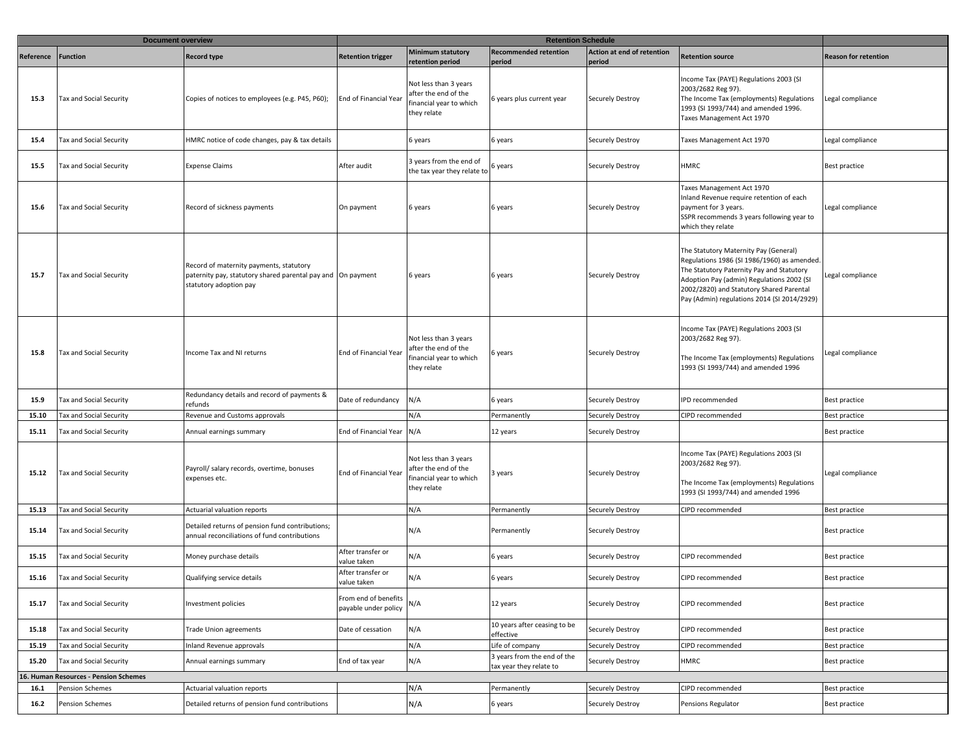|                  | <b>Document overview</b>             |                                                                                                                                  | <b>Retention Schedule</b>                    |                                                                                        |                                                        |                                      |                                                                                                                                                                                                                                                                           |                             |
|------------------|--------------------------------------|----------------------------------------------------------------------------------------------------------------------------------|----------------------------------------------|----------------------------------------------------------------------------------------|--------------------------------------------------------|--------------------------------------|---------------------------------------------------------------------------------------------------------------------------------------------------------------------------------------------------------------------------------------------------------------------------|-----------------------------|
| <b>Reference</b> | <b>Function</b>                      | <b>Record type</b>                                                                                                               | <b>Retention trigger</b>                     | <b>Minimum statutory</b><br>retention period                                           | <b>Recommended retention</b><br>period                 | Action at end of retention<br>period | <b>Retention source</b>                                                                                                                                                                                                                                                   | <b>Reason for retention</b> |
| 15.3             | Tax and Social Security              | Copies of notices to employees (e.g. P45, P60);                                                                                  | End of Financial Year                        | Not less than 3 years<br>after the end of the<br>inancial year to which<br>they relate | 6 years plus current year                              | Securely Destroy                     | Income Tax (PAYE) Regulations 2003 (SI<br>2003/2682 Reg 97).<br>The Income Tax (employments) Regulations<br>1993 (SI 1993/744) and amended 1996.<br>Taxes Management Act 1970                                                                                             | Legal compliance            |
| 15.4             | Tax and Social Security              | HMRC notice of code changes, pay & tax details                                                                                   |                                              | 6 years                                                                                | 6 years                                                | Securely Destroy                     | Taxes Management Act 1970                                                                                                                                                                                                                                                 | Legal compliance            |
| 15.5             | Tax and Social Security              | <b>Expense Claims</b>                                                                                                            | After audit                                  | 3 years from the end of<br>the tax year they relate to                                 | 6 years                                                | Securely Destroy                     | <b>HMRC</b>                                                                                                                                                                                                                                                               | Best practice               |
| 15.6             | Tax and Social Security              | Record of sickness payments                                                                                                      | On payment                                   | 6 years                                                                                | 6 years                                                | Securely Destroy                     | Taxes Management Act 1970<br>Inland Revenue require retention of each<br>payment for 3 years.<br>SSPR recommends 3 years following year to<br>which they relate                                                                                                           | Legal compliance            |
| 15.7             | Tax and Social Security              | Record of maternity payments, statutory<br>paternity pay, statutory shared parental pay and On payment<br>statutory adoption pay |                                              | 6 years                                                                                | 6 years                                                | Securely Destroy                     | The Statutory Maternity Pay (General)<br>Regulations 1986 (SI 1986/1960) as amended.<br>The Statutory Paternity Pay and Statutory<br>Adoption Pay (admin) Regulations 2002 (SI<br>2002/2820) and Statutory Shared Parental<br>Pay (Admin) regulations 2014 (SI 2014/2929) | Legal compliance            |
| 15.8             | Tax and Social Security              | Income Tax and NI returns                                                                                                        | End of Financial Year                        | Not less than 3 years<br>after the end of the<br>inancial year to which<br>they relate | 6 years                                                | Securely Destroy                     | Income Tax (PAYE) Regulations 2003 (SI<br>2003/2682 Reg 97).<br>The Income Tax (employments) Regulations<br>1993 (SI 1993/744) and amended 1996                                                                                                                           | Legal compliance            |
| 15.9             | Tax and Social Security              | Redundancy details and record of payments &<br>refunds                                                                           | Date of redundancy                           | N/A                                                                                    | 6 years                                                | Securely Destroy                     | IPD recommended                                                                                                                                                                                                                                                           | Best practice               |
| 15.10            | Tax and Social Security              | Revenue and Customs approvals                                                                                                    |                                              | N/A                                                                                    | Permanently                                            | Securely Destroy                     | CIPD recommended                                                                                                                                                                                                                                                          | Best practice               |
| 15.11            | Tax and Social Security              | Annual earnings summary                                                                                                          | End of Financial Year                        | N/A                                                                                    | 12 years                                               | Securely Destroy                     |                                                                                                                                                                                                                                                                           | Best practice               |
| 15.12            | Tax and Social Security              | Payroll/ salary records, overtime, bonuses<br>expenses etc.                                                                      | End of Financial Year                        | Not less than 3 years<br>after the end of the<br>inancial year to which<br>they relate | 3 years                                                | Securely Destroy                     | Income Tax (PAYE) Regulations 2003 (SI<br>2003/2682 Reg 97).<br>The Income Tax (employments) Regulations<br>1993 (SI 1993/744) and amended 1996                                                                                                                           | Legal compliance            |
| 15.13            | Tax and Social Security              | Actuarial valuation reports                                                                                                      |                                              | N/A                                                                                    | Permanently                                            | Securely Destroy                     | CIPD recommended                                                                                                                                                                                                                                                          | Best practice               |
| 15.14            | Tax and Social Security              | Detailed returns of pension fund contributions;<br>annual reconciliations of fund contributions                                  |                                              | N/A                                                                                    | Permanently                                            | Securely Destroy                     |                                                                                                                                                                                                                                                                           | Best practice               |
| 15.15            | Tax and Social Security              | Money purchase details                                                                                                           | After transfer or<br>value taken             | N/A                                                                                    | 6 years                                                | Securely Destroy                     | CIPD recommended                                                                                                                                                                                                                                                          | Best practice               |
| 15.16            | Tax and Social Security              | Qualifying service details                                                                                                       | After transfer or<br>value taken             | N/A                                                                                    | 6 years                                                | Securely Destroy                     | CIPD recommended                                                                                                                                                                                                                                                          | Best practice               |
| 15.17            | Tax and Social Security              | Investment policies                                                                                                              | From end of benefits<br>payable under policy | N/A                                                                                    | 12 years                                               | Securely Destroy                     | CIPD recommended                                                                                                                                                                                                                                                          | Best practice               |
| 15.18            | Tax and Social Security              | Trade Union agreements                                                                                                           | Date of cessation                            | N/A                                                                                    | 10 years after ceasing to be<br>effective              | Securely Destroy                     | CIPD recommended                                                                                                                                                                                                                                                          | Best practice               |
| 15.19            | Tax and Social Security              | Inland Revenue approvals                                                                                                         |                                              | N/A                                                                                    | Life of company                                        | Securely Destroy                     | CIPD recommended                                                                                                                                                                                                                                                          | Best practice               |
| 15.20            | Tax and Social Security              | Annual earnings summary                                                                                                          | End of tax year                              | N/A                                                                                    | 3 years from the end of the<br>tax year they relate to | Securely Destroy                     | <b>HMRC</b>                                                                                                                                                                                                                                                               | Best practice               |
|                  | 6. Human Resources - Pension Schemes |                                                                                                                                  |                                              |                                                                                        |                                                        |                                      |                                                                                                                                                                                                                                                                           |                             |
| 16.1             | Pension Schemes                      | Actuarial valuation reports                                                                                                      |                                              | N/A                                                                                    | Permanently                                            | Securely Destroy                     | CIPD recommended                                                                                                                                                                                                                                                          | Best practice               |
| 16.2             | Pension Schemes                      | Detailed returns of pension fund contributions                                                                                   |                                              | N/A                                                                                    | 6 years                                                | Securely Destroy                     | Pensions Regulator                                                                                                                                                                                                                                                        | Best practice               |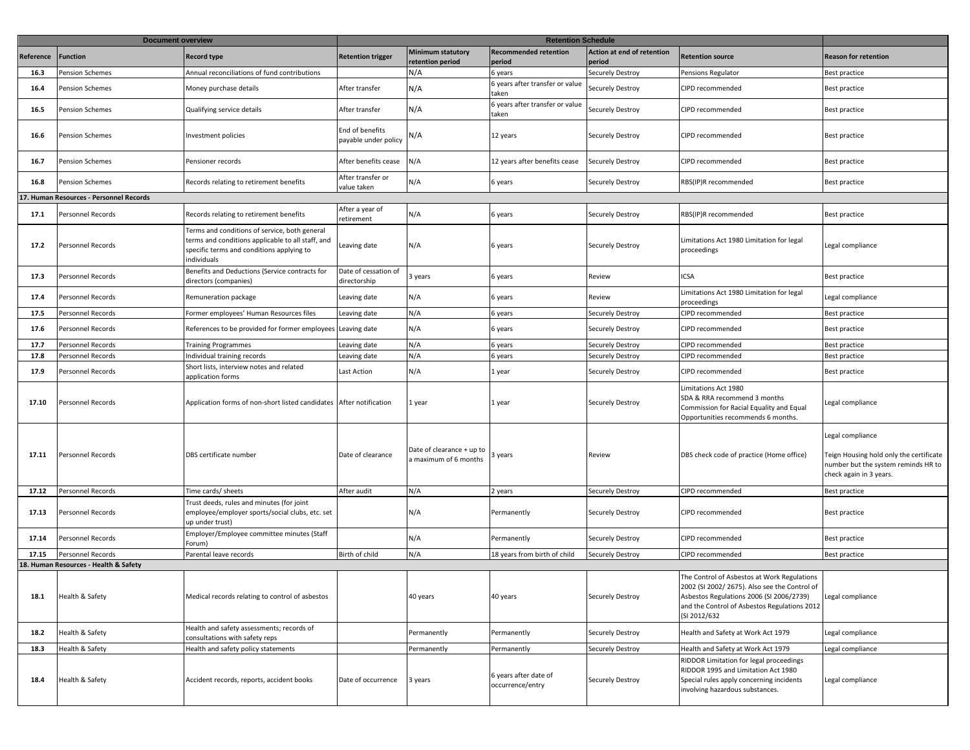|           | <b>Document overview</b>                |                                                                                                                                                                |                                         |                                                    |                                           |                                      |                                                                                                                                                                                                          |                                                                                                                               |
|-----------|-----------------------------------------|----------------------------------------------------------------------------------------------------------------------------------------------------------------|-----------------------------------------|----------------------------------------------------|-------------------------------------------|--------------------------------------|----------------------------------------------------------------------------------------------------------------------------------------------------------------------------------------------------------|-------------------------------------------------------------------------------------------------------------------------------|
| Reference | Function                                | <b>Record type</b>                                                                                                                                             | <b>Retention trigger</b>                | <b>Minimum statutory</b><br>retention period       | <b>Recommended retention</b><br>period    | Action at end of retention<br>period | <b>Retention source</b>                                                                                                                                                                                  | <b>Reason for retention</b>                                                                                                   |
| 16.3      | <b>Pension Schemes</b>                  | Annual reconciliations of fund contributions                                                                                                                   |                                         | N/A                                                | 6 years                                   | <b>Securely Destroy</b>              | Pensions Regulator                                                                                                                                                                                       | Best practice                                                                                                                 |
| 16.4      | Pension Schemes                         | Money purchase details                                                                                                                                         | After transfer                          | N/A                                                | 6 years after transfer or value<br>taken  | Securely Destroy                     | CIPD recommended                                                                                                                                                                                         | Best practice                                                                                                                 |
| 16.5      | <b>Pension Schemes</b>                  | Qualifying service details                                                                                                                                     | After transfer                          | N/A                                                | 6 years after transfer or value<br>taken  | Securely Destroy                     | CIPD recommended                                                                                                                                                                                         | Best practice                                                                                                                 |
| 16.6      | <b>Pension Schemes</b>                  | Investment policies                                                                                                                                            | End of benefits<br>payable under policy | N/A                                                | 12 years                                  | Securely Destroy                     | CIPD recommended                                                                                                                                                                                         | Best practice                                                                                                                 |
| 16.7      | Pension Schemes                         | Pensioner records                                                                                                                                              | After benefits cease                    | N/A                                                | 12 years after benefits cease             | Securely Destroy                     | CIPD recommended                                                                                                                                                                                         | <b>Best practice</b>                                                                                                          |
| 16.8      | Pension Schemes                         | Records relating to retirement benefits                                                                                                                        | After transfer or<br>value taken        | N/A                                                | 6 years                                   | Securely Destroy                     | RBS(IP)R recommended                                                                                                                                                                                     | Best practice                                                                                                                 |
|           | 17. Human Resources - Personnel Records |                                                                                                                                                                |                                         |                                                    |                                           |                                      |                                                                                                                                                                                                          |                                                                                                                               |
| 17.1      | Personnel Records                       | Records relating to retirement benefits                                                                                                                        | After a year of<br>retirement           | N/A                                                | 6 years                                   | Securely Destroy                     | RBS(IP)R recommended                                                                                                                                                                                     | Best practice                                                                                                                 |
| 17.2      | Personnel Records                       | Terms and conditions of service, both general<br>terms and conditions applicable to all staff, and<br>specific terms and conditions applying to<br>individuals | Leaving date                            | N/A                                                | 6 years                                   | Securely Destroy                     | Limitations Act 1980 Limitation for legal<br>proceedings                                                                                                                                                 | Legal compliance                                                                                                              |
| 17.3      | Personnel Records                       | Benefits and Deductions (Service contracts for<br>directors (companies)                                                                                        | Date of cessation of<br>directorship    | 3 years                                            | 6 years                                   | Review                               | <b>ICSA</b>                                                                                                                                                                                              | Best practice                                                                                                                 |
| 17.4      | Personnel Records                       | Remuneration package                                                                                                                                           | Leaving date                            | N/A                                                | 6 years                                   | Review                               | Limitations Act 1980 Limitation for legal<br>proceedings                                                                                                                                                 | Legal compliance                                                                                                              |
| 17.5      | Personnel Records                       | Former employees' Human Resources files                                                                                                                        | Leaving date                            | N/A                                                | 6 years                                   | Securely Destroy                     | CIPD recommended                                                                                                                                                                                         | Best practice                                                                                                                 |
| 17.6      | Personnel Records                       | References to be provided for former employees                                                                                                                 | Leaving date                            | N/A                                                | 6 years                                   | <b>Securely Destroy</b>              | CIPD recommended                                                                                                                                                                                         | Best practice                                                                                                                 |
| 17.7      | Personnel Records                       | <b>Training Programmes</b>                                                                                                                                     | Leaving date                            | N/A                                                | 6 years                                   | Securely Destroy                     | CIPD recommended                                                                                                                                                                                         | Best practice                                                                                                                 |
| 17.8      | Personnel Records                       | Individual training records                                                                                                                                    | Leaving date                            | N/A                                                | 6 years                                   | Securely Destroy                     | CIPD recommended                                                                                                                                                                                         | Best practice                                                                                                                 |
| 17.9      | Personnel Records                       | Short lists, interview notes and related<br>application forms                                                                                                  | Last Action                             | N/A                                                | 1 year                                    | Securely Destroy                     | CIPD recommended                                                                                                                                                                                         | Best practice                                                                                                                 |
| 17.10     | Personnel Records                       | Application forms of non-short listed candidates After notification                                                                                            |                                         | l year                                             | 1 year                                    | Securely Destroy                     | Limitations Act 1980<br>SDA & RRA recommend 3 months<br>Commission for Racial Equality and Equal<br>Opportunities recommends 6 months.                                                                   | Legal compliance                                                                                                              |
| 17.11     | <b>Personnel Records</b>                | DBS certificate number                                                                                                                                         | Date of clearance                       | Date of clearance + up to<br>a maximum of 6 months | 3 years                                   | Review                               | DBS check code of practice (Home office)                                                                                                                                                                 | Legal compliance<br>Teign Housing hold only the certificate<br>number but the system reminds HR to<br>check again in 3 years. |
| 17.12     | Personnel Records                       | Time cards/ sheets                                                                                                                                             | After audit                             | N/A                                                | 2 years                                   | <b>Securely Destroy</b>              | CIPD recommended                                                                                                                                                                                         | Best practice                                                                                                                 |
| 17.13     | Personnel Records                       | Trust deeds, rules and minutes (for joint<br>employee/employer sports/social clubs, etc. set<br>up under trust)                                                |                                         | N/A                                                | Permanently                               | <b>Securely Destroy</b>              | CIPD recommended                                                                                                                                                                                         | Best practice                                                                                                                 |
| 17.14     | Personnel Records                       | Employer/Employee committee minutes (Staff<br>Forum)                                                                                                           |                                         | N/A                                                | Permanently                               | Securely Destroy                     | CIPD recommended                                                                                                                                                                                         | Best practice                                                                                                                 |
| 17.15     | Personnel Records                       | Parental leave records                                                                                                                                         | Birth of child                          | N/A                                                | 18 years from birth of child              | Securely Destroy                     | CIPD recommended                                                                                                                                                                                         | <b>Best practice</b>                                                                                                          |
|           | 8. Human Resources - Health & Safety    |                                                                                                                                                                |                                         |                                                    |                                           |                                      |                                                                                                                                                                                                          |                                                                                                                               |
| 18.1      | Health & Safety                         | Medical records relating to control of asbestos                                                                                                                |                                         | 40 years                                           | 40 years                                  | Securely Destroy                     | The Control of Asbestos at Work Regulations<br>2002 (SI 2002/ 2675). Also see the Control of<br>Asbestos Regulations 2006 (SI 2006/2739)<br>and the Control of Asbestos Regulations 2012<br>(SI 2012/632 | Legal compliance                                                                                                              |
| 18.2      | Health & Safety                         | Health and safety assessments; records of<br>consultations with safety reps                                                                                    |                                         | Permanently                                        | Permanently                               | Securely Destroy                     | Health and Safety at Work Act 1979                                                                                                                                                                       | Legal compliance                                                                                                              |
| 18.3      | Health & Safety                         | Health and safety policy statements                                                                                                                            |                                         | Permanently                                        | Permanently                               | Securely Destroy                     | Health and Safety at Work Act 1979                                                                                                                                                                       | Legal compliance                                                                                                              |
| 18.4      | Health & Safety                         | Accident records, reports, accident books                                                                                                                      | Date of occurrence                      | 3 years                                            | 6 years after date of<br>occurrence/entry | Securely Destroy                     | RIDDOR Limitation for legal proceedings<br>RIDDOR 1995 and Limitation Act 1980<br>Special rules apply concerning incidents<br>involving hazardous substances.                                            | Legal compliance                                                                                                              |